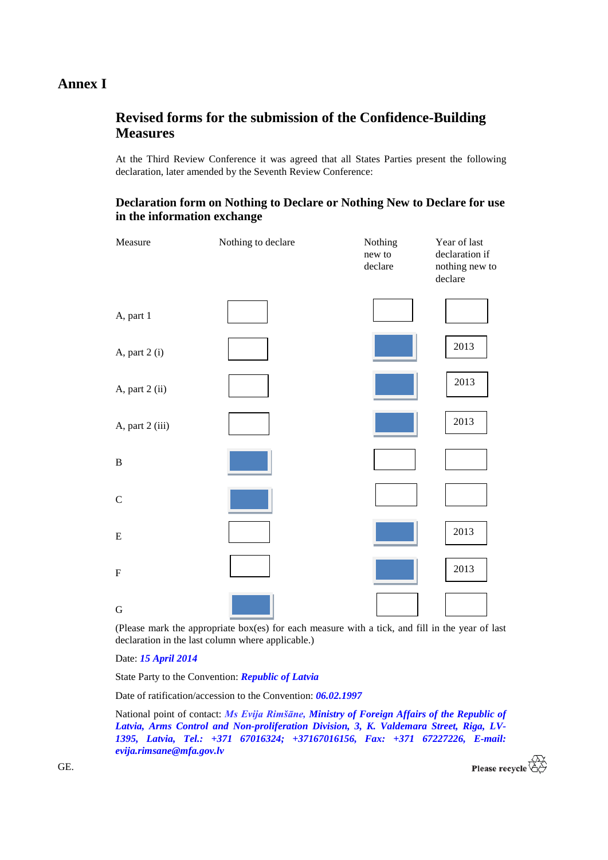## **Annex I**

## **Revised forms for the submission of the Confidence-Building Measures**

At the Third Review Conference it was agreed that all States Parties present the following declaration, later amended by the Seventh Review Conference:

## **Declaration form on Nothing to Declare or Nothing New to Declare for use in the information exchange**

| Measure                   | Nothing to declare | Nothing<br>new to<br>declare | Year of last<br>declaration if<br>nothing new to<br>declare |
|---------------------------|--------------------|------------------------------|-------------------------------------------------------------|
| A, part 1                 |                    |                              |                                                             |
| A, part 2 (i)             |                    |                              | 2013                                                        |
| A, part 2 (ii)            |                    |                              | 2013                                                        |
| A, part 2 (iii)           |                    |                              | 2013                                                        |
| $\, {\bf B}$              |                    |                              |                                                             |
| $\mathsf C$               |                    |                              |                                                             |
| ${\bf E}$                 |                    |                              | 2013                                                        |
| $\boldsymbol{\mathrm{F}}$ |                    |                              | 2013                                                        |
| ${\bf G}$                 |                    |                              |                                                             |

(Please mark the appropriate box(es) for each measure with a tick, and fill in the year of last declaration in the last column where applicable.)

Date: *15 April 2014*

State Party to the Convention: *Republic of Latvia*

Date of ratification/accession to the Convention: *06.02.1997*

National point of contact: *Ms Evija Rimšāne, Ministry of Foreign Affairs of the Republic of Latvia, Arms Control and Non-proliferation Division, 3, K. Valdemara Street, Riga, LV-1395, Latvia, Tel.: +371 67016324; +37167016156, Fax: +371 67227226, E-mail: evija.rimsane@mfa.gov.lv*



GE.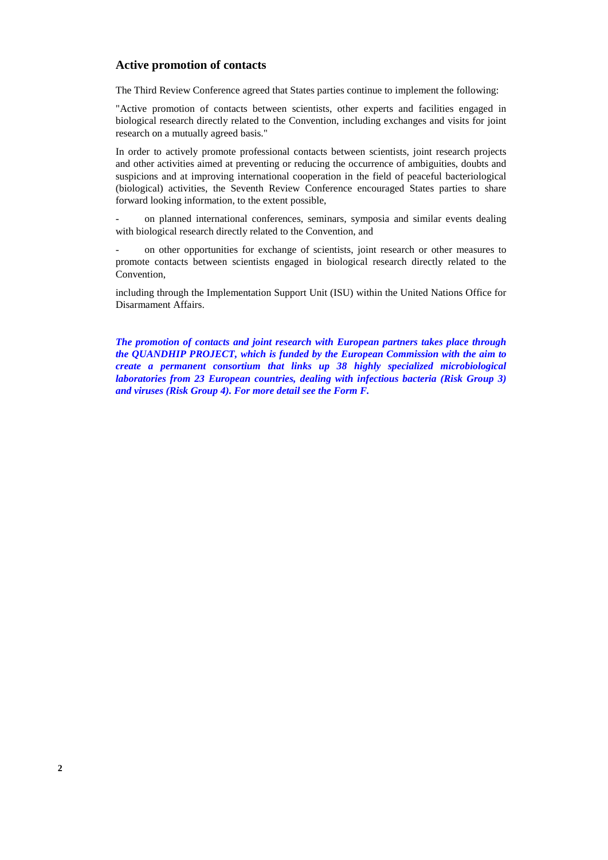#### **Active promotion of contacts**

The Third Review Conference agreed that States parties continue to implement the following:

"Active promotion of contacts between scientists, other experts and facilities engaged in biological research directly related to the Convention, including exchanges and visits for joint research on a mutually agreed basis."

In order to actively promote professional contacts between scientists, joint research projects and other activities aimed at preventing or reducing the occurrence of ambiguities, doubts and suspicions and at improving international cooperation in the field of peaceful bacteriological (biological) activities, the Seventh Review Conference encouraged States parties to share forward looking information, to the extent possible,

on planned international conferences, seminars, symposia and similar events dealing with biological research directly related to the Convention, and

- on other opportunities for exchange of scientists, joint research or other measures to promote contacts between scientists engaged in biological research directly related to the Convention,

including through the Implementation Support Unit (ISU) within the United Nations Office for Disarmament Affairs.

*The promotion of contacts and joint research with European partners takes place through the QUANDHIP PROJECT, which is funded by the European Commission with the aim to create a permanent consortium that links up 38 highly specialized microbiological laboratories from 23 European countries, dealing with infectious bacteria (Risk Group 3) and viruses (Risk Group 4). For more detail see the Form F.*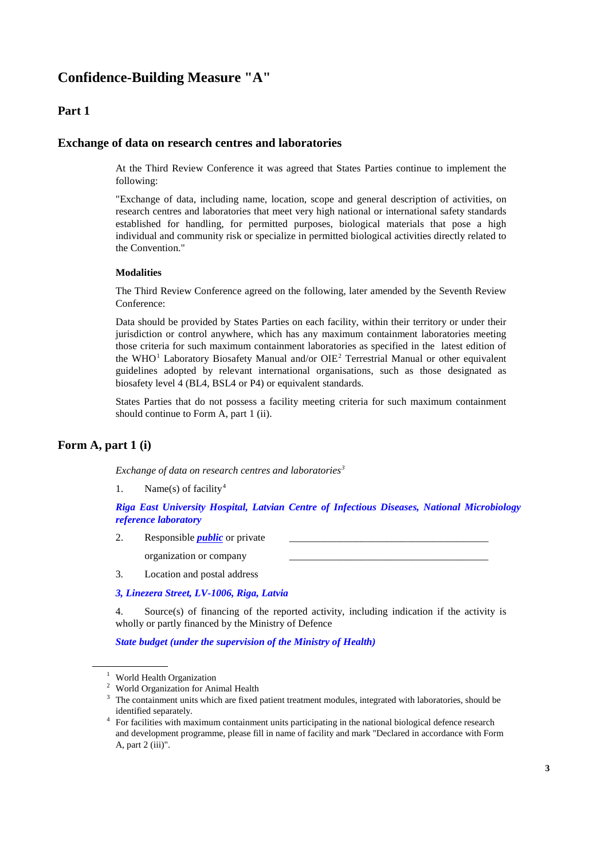# **Confidence-Building Measure "A"**

## **Part 1**

#### **Exchange of data on research centres and laboratories**

At the Third Review Conference it was agreed that States Parties continue to implement the following:

"Exchange of data, including name, location, scope and general description of activities, on research centres and laboratories that meet very high national or international safety standards established for handling, for permitted purposes, biological materials that pose a high individual and community risk or specialize in permitted biological activities directly related to the Convention."

#### **Modalities**

The Third Review Conference agreed on the following, later amended by the Seventh Review Conference:

Data should be provided by States Parties on each facility, within their territory or under their jurisdiction or control anywhere, which has any maximum containment laboratories meeting those criteria for such maximum containment laboratories as specified in the latest edition of the WHO<sup>[1](#page-2-0)</sup> Laboratory Biosafety Manual and/or OIE<sup>[2](#page-2-1)</sup> Terrestrial Manual or other equivalent guidelines adopted by relevant international organisations, such as those designated as biosafety level 4 (BL4, BSL4 or P4) or equivalent standards.

States Parties that do not possess a facility meeting criteria for such maximum containment should continue to Form A, part 1 (ii).

## **Form A, part 1 (i)**

*Exchange of data on research centres and laboratories[3](#page-2-2)*

1. Name(s) of facility<sup>[4](#page-2-3)</sup>

*Riga East University Hospital, Latvian Centre of Infectious Diseases, National Microbiology reference laboratory*

- 2. Responsible *public* or private organization or company
- 3. Location and postal address

*3, Linezera Street, LV-1006, Riga, Latvia*

4. Source(s) of financing of the reported activity, including indication if the activity is wholly or partly financed by the Ministry of Defence

*State budget (under the supervision of the Ministry of Health)*

<span id="page-2-1"></span>

<span id="page-2-2"></span>

<span id="page-2-0"></span><sup>&</sup>lt;sup>1</sup> World Health Organization<br><sup>2</sup> World Organization for Animal Health<br><sup>3</sup> The containment units which are fixed patient treatment modules, integrated with laboratories, should be<br>identified separately.

<span id="page-2-3"></span><sup>&</sup>lt;sup>4</sup> For facilities with maximum containment units participating in the national biological defence research and development programme, please fill in name of facility and mark "Declared in accordance with Form A, part 2 (iii)".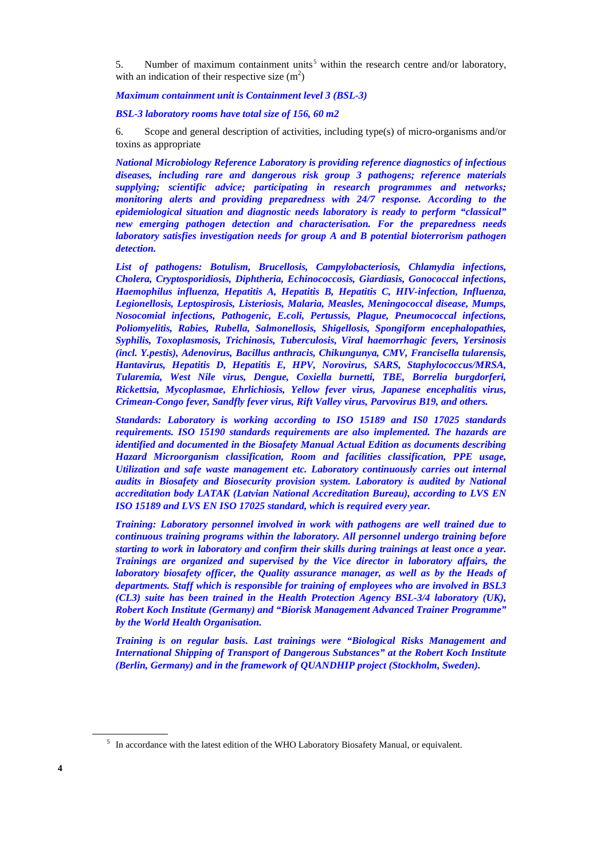[5](#page-3-0). Number of maximum containment units<sup>5</sup> within the research centre and/or laboratory, with an indication of their respective size  $(m^2)$ 

*Maximum containment unit is Containment level 3 (BSL-3)*

*BSL-3 laboratory rooms have total size of 156, 60 m2*

6. Scope and general description of activities, including type(s) of micro-organisms and/or toxins as appropriate

*National Microbiology Reference Laboratory is providing reference diagnostics of infectious diseases, including rare and dangerous risk group 3 pathogens; reference materials supplying; scientific advice; participating in research programmes and networks; monitoring alerts and providing preparedness with 24/7 response. According to the epidemiological situation and diagnostic needs laboratory is ready to perform "classical" new emerging pathogen detection and characterisation. For the preparedness needs laboratory satisfies investigation needs for group A and B potential bioterrorism pathogen detection.*

*List of pathogens: Botulism, Brucellosis, Campylobacteriosis, Chlamydia infections, Cholera, Cryptosporidiosis, Diphtheria, Echinococcosis, Giardiasis, Gonococcal infections, Haemophilus influenza, Hepatitis A, Hepatitis B, Hepatitis C, HIV-infection, Influenza, Legionellosis, Leptospirosis, Listeriosis, Malaria, Measles, Meningococcal disease, Mumps, Nosocomial infections, Pathogenic, E.coli, Pertussis, Plague, Pneumococcal infections, Poliomyelitis, Rabies, Rubella, Salmonellosis, Shigellosis, Spongiform encephalopathies, Syphilis, Toxoplasmosis, Trichinosis, Tuberculosis, Viral haemorrhagic fevers, Yersinosis (incl. Y.pestis), Adenovirus, Bacillus anthracis, Chikungunya, CMV, Francisella tularensis, Hantavirus, Hepatitis D, Hepatitis E, HPV, Norovirus, SARS, Staphylococcus/MRSA, Tularemia, West Nile virus, Dengue, Coxiella burnetti, TBE, Borrelia burgdorferi, Rickettsia, Mycoplasmae, Ehrlichiosis, Yellow fever virus, Japanese encephalitis virus, Crimean-Congo fever, Sandfly fever virus, Rift Valley virus, Parvovirus B19, and others.*

*Standards: Laboratory is working according to ISO 15189 and IS0 17025 standards requirements. ISO 15190 standards requirements are also implemented. The hazards are identified and documented in the Biosafety Manual Actual Edition as documents describing Hazard Microorganism classification, Room and facilities classification, PPE usage, Utilization and safe waste management etc. Laboratory continuously carries out internal audits in Biosafety and Biosecurity provision system. Laboratory is audited by National accreditation body LATAK (Latvian National Accreditation Bureau), according to LVS EN ISO 15189 and LVS EN ISO 17025 standard, which is required every year.*

*Training: Laboratory personnel involved in work with pathogens are well trained due to continuous training programs within the laboratory. All personnel undergo training before starting to work in laboratory and confirm their skills during trainings at least once a year. Trainings are organized and supervised by the Vice director in laboratory affairs, the laboratory biosafety officer, the Quality assurance manager, as well as by the Heads of departments. Staff which is responsible for training of employees who are involved in BSL3 (CL3) suite has been trained in the Health Protection Agency BSL-3/4 laboratory (UK), Robert Koch Institute (Germany) and "Biorisk Management Advanced Trainer Programme" by the World Health Organisation.* 

*Training is on regular basis. Last trainings were "Biological Risks Management and International Shipping of Transport of Dangerous Substances" at the Robert Koch Institute (Berlin, Germany) and in the framework of QUANDHIP project (Stockholm, Sweden).* 

<span id="page-3-0"></span><sup>&</sup>lt;sup>5</sup> In accordance with the latest edition of the WHO Laboratory Biosafety Manual, or equivalent.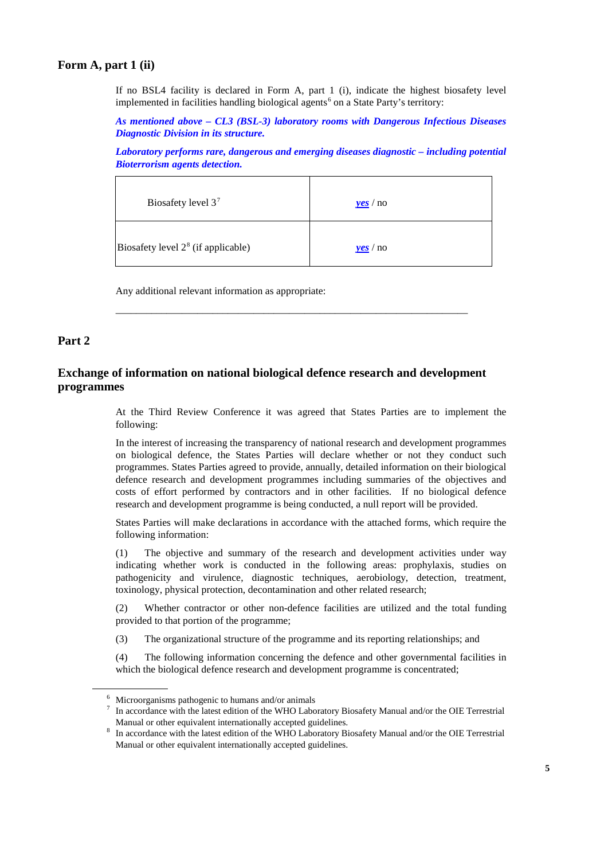## **Form A, part 1 (ii)**

If no BSL4 facility is declared in Form A, part 1 (i), indicate the highest biosafety level implemented in facilities handling biological agents<sup>[6](#page-4-0)</sup> on a State Party's territory:

*As mentioned above – CL3 (BSL-3) laboratory rooms with Dangerous Infectious Diseases Diagnostic Division in its structure.*

*Laboratory performs rare, dangerous and emerging diseases diagnostic – including potential Bioterrorism agents detection.*

| Biosafety level $37$                 | $\mathbf{v}\mathbf{e}\mathbf{s}$ / no |
|--------------------------------------|---------------------------------------|
| Biosafety level $28$ (if applicable) | yeS/no                                |

\_\_\_\_\_\_\_\_\_\_\_\_\_\_\_\_\_\_\_\_\_\_\_\_\_\_\_\_\_\_\_\_\_\_\_\_\_\_\_\_\_\_\_\_\_\_\_\_\_\_\_\_\_\_\_\_\_\_\_\_\_\_\_\_\_\_\_\_\_

Any additional relevant information as appropriate:

## **Part 2**

## **Exchange of information on national biological defence research and development programmes**

At the Third Review Conference it was agreed that States Parties are to implement the following:

In the interest of increasing the transparency of national research and development programmes on biological defence, the States Parties will declare whether or not they conduct such programmes. States Parties agreed to provide, annually, detailed information on their biological defence research and development programmes including summaries of the objectives and costs of effort performed by contractors and in other facilities. If no biological defence research and development programme is being conducted, a null report will be provided.

States Parties will make declarations in accordance with the attached forms, which require the following information:

(1) The objective and summary of the research and development activities under way indicating whether work is conducted in the following areas: prophylaxis, studies on pathogenicity and virulence, diagnostic techniques, aerobiology, detection, treatment, toxinology, physical protection, decontamination and other related research;

(2) Whether contractor or other non-defence facilities are utilized and the total funding provided to that portion of the programme;

(3) The organizational structure of the programme and its reporting relationships; and

(4) The following information concerning the defence and other governmental facilities in which the biological defence research and development programme is concentrated;

<span id="page-4-1"></span><span id="page-4-0"></span>

<sup>&</sup>lt;sup>6</sup> Microorganisms pathogenic to humans and/or animals<br><sup>7</sup> In accordance with the latest edition of the WHO Laboratory Biosafety Manual and/or the OIE Terrestrial Manual or other equivalent internationally accepted guidelines.<br><sup>8</sup> In accordance with the latest edition of the WHO Laboratory Biosafety Manual and/or the OIE Terrestrial

<span id="page-4-2"></span>Manual or other equivalent internationally accepted guidelines.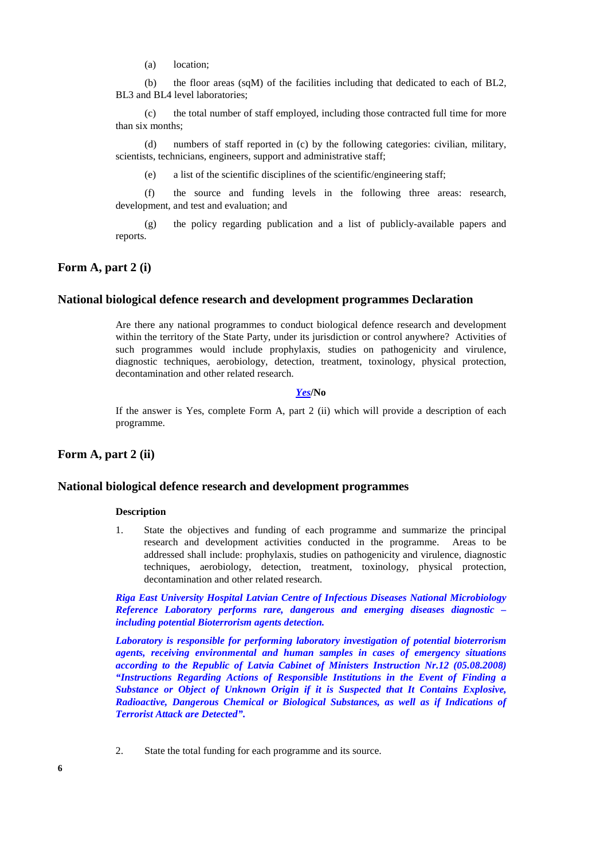(a) location;

(b) the floor areas (sqM) of the facilities including that dedicated to each of BL2, BL3 and BL4 level laboratories;

(c) the total number of staff employed, including those contracted full time for more than six months;

(d) numbers of staff reported in (c) by the following categories: civilian, military, scientists, technicians, engineers, support and administrative staff;

(e) a list of the scientific disciplines of the scientific/engineering staff;

(f) the source and funding levels in the following three areas: research, development, and test and evaluation; and

(g) the policy regarding publication and a list of publicly-available papers and reports.

#### **Form A, part 2 (i)**

### **National biological defence research and development programmes Declaration**

Are there any national programmes to conduct biological defence research and development within the territory of the State Party, under its jurisdiction or control anywhere? Activities of such programmes would include prophylaxis, studies on pathogenicity and virulence, diagnostic techniques, aerobiology, detection, treatment, toxinology, physical protection, decontamination and other related research.

#### *Yes***/No**

If the answer is Yes, complete Form A, part 2 (ii) which will provide a description of each programme.

**Form A, part 2 (ii)**

#### **National biological defence research and development programmes**

#### **Description**

1. State the objectives and funding of each programme and summarize the principal research and development activities conducted in the programme. Areas to be addressed shall include: prophylaxis, studies on pathogenicity and virulence, diagnostic techniques, aerobiology, detection, treatment, toxinology, physical protection, decontamination and other related research.

*Riga East University Hospital Latvian Centre of Infectious Diseases National Microbiology Reference Laboratory performs rare, dangerous and emerging diseases diagnostic – including potential Bioterrorism agents detection.*

*Laboratory is responsible for performing laboratory investigation of potential bioterrorism agents, receiving environmental and human samples in cases of emergency situations according to the Republic of Latvia Cabinet of Ministers Instruction Nr.12 (05.08.2008) "Instructions Regarding Actions of Responsible Institutions in the Event of Finding a Substance or Object of Unknown Origin if it is Suspected that It Contains Explosive, Radioactive, Dangerous Chemical or Biological Substances, as well as if Indications of Terrorist Attack are Detected".* 

2. State the total funding for each programme and its source.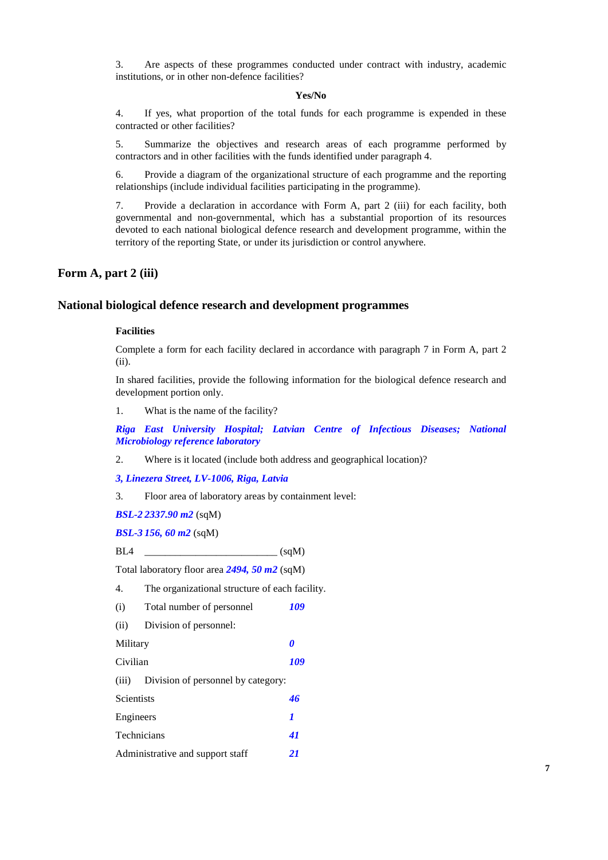3. Are aspects of these programmes conducted under contract with industry, academic institutions, or in other non-defence facilities?

#### **Yes/No**

4. If yes, what proportion of the total funds for each programme is expended in these contracted or other facilities?

5. Summarize the objectives and research areas of each programme performed by contractors and in other facilities with the funds identified under paragraph 4.

6. Provide a diagram of the organizational structure of each programme and the reporting relationships (include individual facilities participating in the programme).

7. Provide a declaration in accordance with Form A, part 2 (iii) for each facility, both governmental and non-governmental, which has a substantial proportion of its resources devoted to each national biological defence research and development programme, within the territory of the reporting State, or under its jurisdiction or control anywhere.

### **Form A, part 2 (iii)**

#### **National biological defence research and development programmes**

#### **Facilities**

Complete a form for each facility declared in accordance with paragraph 7 in Form A, part 2 (ii).

In shared facilities, provide the following information for the biological defence research and development portion only.

1. What is the name of the facility?

*Riga East University Hospital; Latvian Centre of Infectious Diseases; National Microbiology reference laboratory*

2. Where is it located (include both address and geographical location)?

*3, Linezera Street, LV-1006, Riga, Latvia*

3. Floor area of laboratory areas by containment level:

*BSL-2 2337.90 m2* (sqM)

*BSL-3 156, 60 m2* (sqM)

BL4 \_\_\_\_\_\_\_\_\_\_\_\_\_\_\_\_\_\_\_\_\_\_\_\_\_\_ (sqM)

Total laboratory floor area *2494, 50 m2* (sqM)

4. The organizational structure of each facility.

(i) Total number of personnel *109*

(ii) Division of personnel:

Military *0*

Civilian *109*

(iii) Division of personnel by category:

| Scientists                       |    |
|----------------------------------|----|
| Engineers                        |    |
| <b>Technicians</b>               | 41 |
| Administrative and support staff | 21 |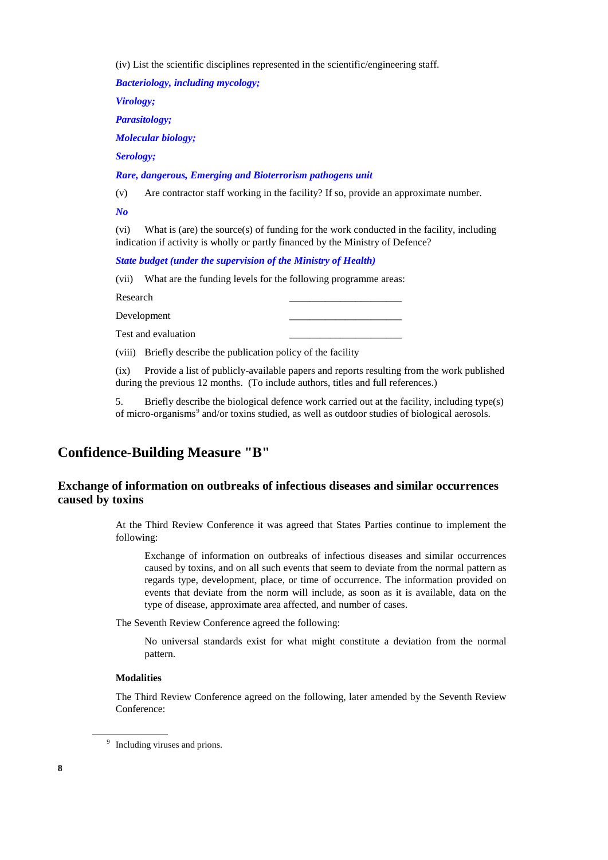(iv) List the scientific disciplines represented in the scientific/engineering staff.

*Bacteriology, including mycology;*

*Virology;*

*Parasitology;*

*Molecular biology;*

*Serology;*

*Rare, dangerous, Emerging and Bioterrorism pathogens unit*

(v) Are contractor staff working in the facility? If so, provide an approximate number.

*No*

(vi) What is (are) the source(s) of funding for the work conducted in the facility, including indication if activity is wholly or partly financed by the Ministry of Defence?

*State budget (under the supervision of the Ministry of Health)*

(vii) What are the funding levels for the following programme areas:

Research \_\_\_\_\_\_\_\_\_\_\_\_\_\_\_\_\_\_\_\_\_\_

Development

Test and evaluation \_\_\_\_\_\_\_\_\_\_\_\_\_\_\_\_\_\_\_\_\_\_

(viii) Briefly describe the publication policy of the facility

(ix) Provide a list of publicly-available papers and reports resulting from the work published during the previous 12 months. (To include authors, titles and full references.)

5. Briefly describe the biological defence work carried out at the facility, including type(s) of micro-organisms<sup>[9](#page-7-0)</sup> and/or toxins studied, as well as outdoor studies of biological aerosols.

## **Confidence-Building Measure "B"**

## **Exchange of information on outbreaks of infectious diseases and similar occurrences caused by toxins**

At the Third Review Conference it was agreed that States Parties continue to implement the following:

Exchange of information on outbreaks of infectious diseases and similar occurrences caused by toxins, and on all such events that seem to deviate from the normal pattern as regards type, development, place, or time of occurrence. The information provided on events that deviate from the norm will include, as soon as it is available, data on the type of disease, approximate area affected, and number of cases.

The Seventh Review Conference agreed the following:

No universal standards exist for what might constitute a deviation from the normal pattern.

#### **Modalities**

The Third Review Conference agreed on the following, later amended by the Seventh Review Conference:

<span id="page-7-0"></span><sup>&</sup>lt;sup>9</sup> Including viruses and prions.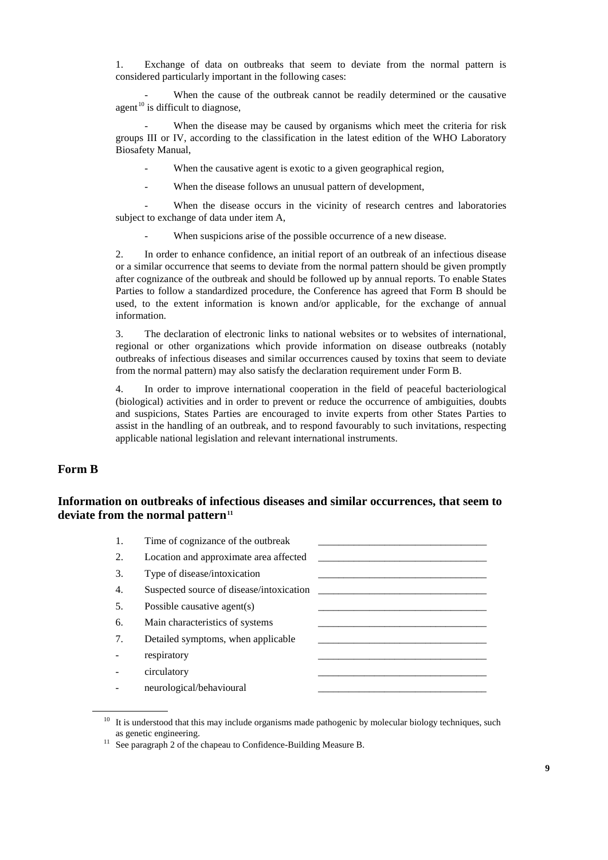1. Exchange of data on outbreaks that seem to deviate from the normal pattern is considered particularly important in the following cases:

When the cause of the outbreak cannot be readily determined or the causative agent $10$  is difficult to diagnose,

When the disease may be caused by organisms which meet the criteria for risk groups III or IV, according to the classification in the latest edition of the WHO Laboratory Biosafety Manual,

When the causative agent is exotic to a given geographical region,

When the disease follows an unusual pattern of development,

When the disease occurs in the vicinity of research centres and laboratories subject to exchange of data under item A,

When suspicions arise of the possible occurrence of a new disease.

2. In order to enhance confidence, an initial report of an outbreak of an infectious disease or a similar occurrence that seems to deviate from the normal pattern should be given promptly after cognizance of the outbreak and should be followed up by annual reports. To enable States Parties to follow a standardized procedure, the Conference has agreed that Form B should be used, to the extent information is known and/or applicable, for the exchange of annual information.

3. The declaration of electronic links to national websites or to websites of international, regional or other organizations which provide information on disease outbreaks (notably outbreaks of infectious diseases and similar occurrences caused by toxins that seem to deviate from the normal pattern) may also satisfy the declaration requirement under Form B.

4. In order to improve international cooperation in the field of peaceful bacteriological (biological) activities and in order to prevent or reduce the occurrence of ambiguities, doubts and suspicions, States Parties are encouraged to invite experts from other States Parties to assist in the handling of an outbreak, and to respond favourably to such invitations, respecting applicable national legislation and relevant international instruments.

## **Form B**

## **Information on outbreaks of infectious diseases and similar occurrences, that seem to deviate from the normal pattern[11](#page-8-1)**

| Time of cognizance of the outbreak       |  |
|------------------------------------------|--|
| Location and approximate area affected   |  |
| Type of disease/intoxication             |  |
| Suspected source of disease/intoxication |  |
| Possible causative agent(s)              |  |
| Main characteristics of systems          |  |
| Detailed symptoms, when applicable       |  |
| respiratory                              |  |
| circulatory                              |  |
| neurological/behavioural                 |  |
|                                          |  |

<span id="page-8-0"></span> $10$  It is understood that this may include organisms made pathogenic by molecular biology techniques, such as genetic engineering.

<span id="page-8-1"></span><sup>&</sup>lt;sup>11</sup> See paragraph 2 of the chapeau to Confidence-Building Measure B.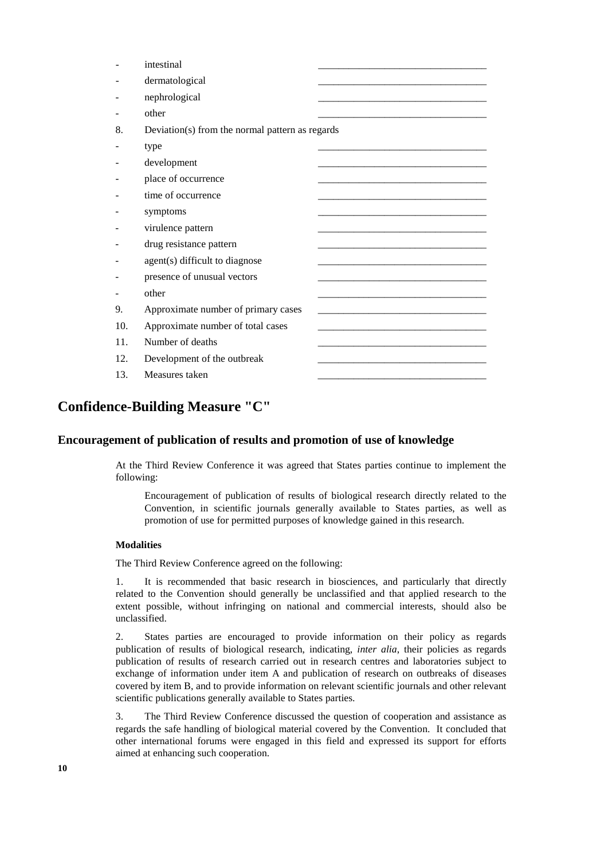|     | intestinal                                      |
|-----|-------------------------------------------------|
|     | dermatological                                  |
|     | nephrological                                   |
|     | other                                           |
| 8.  | Deviation(s) from the normal pattern as regards |
|     | type                                            |
|     | development                                     |
|     | place of occurrence                             |
|     | time of occurrence                              |
|     | symptoms                                        |
|     | virulence pattern                               |
|     | drug resistance pattern                         |
|     | agent(s) difficult to diagnose                  |
|     | presence of unusual vectors                     |
|     | other                                           |
| 9.  | Approximate number of primary cases             |
| 10. | Approximate number of total cases               |
| 11. | Number of deaths                                |
| 12. | Development of the outbreak                     |
| 13. | Measures taken                                  |

# **Confidence-Building Measure "C"**

### **Encouragement of publication of results and promotion of use of knowledge**

At the Third Review Conference it was agreed that States parties continue to implement the following:

Encouragement of publication of results of biological research directly related to the Convention, in scientific journals generally available to States parties, as well as promotion of use for permitted purposes of knowledge gained in this research.

#### **Modalities**

The Third Review Conference agreed on the following:

1. It is recommended that basic research in biosciences, and particularly that directly related to the Convention should generally be unclassified and that applied research to the extent possible, without infringing on national and commercial interests, should also be unclassified.

2. States parties are encouraged to provide information on their policy as regards publication of results of biological research, indicating, *inter alia*, their policies as regards publication of results of research carried out in research centres and laboratories subject to exchange of information under item A and publication of research on outbreaks of diseases covered by item B, and to provide information on relevant scientific journals and other relevant scientific publications generally available to States parties.

3. The Third Review Conference discussed the question of cooperation and assistance as regards the safe handling of biological material covered by the Convention. It concluded that other international forums were engaged in this field and expressed its support for efforts aimed at enhancing such cooperation.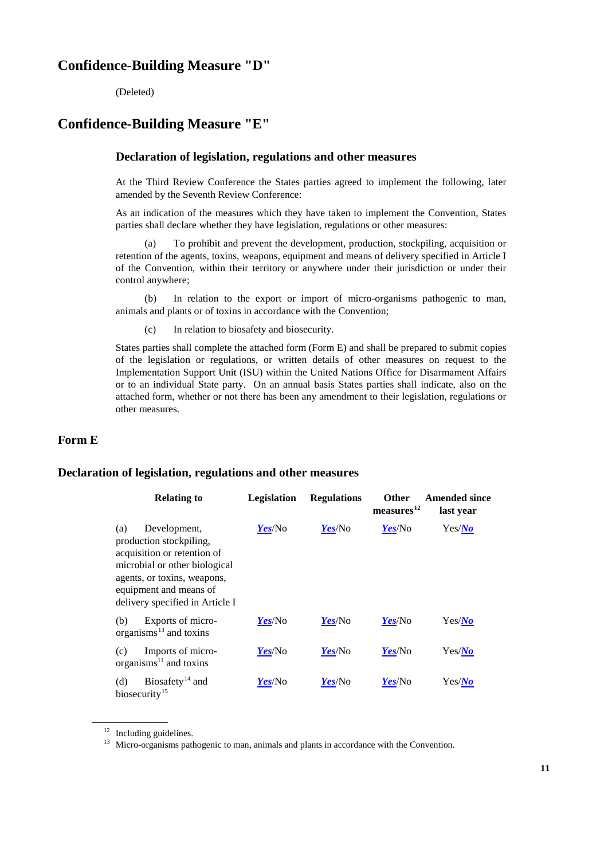# **Confidence-Building Measure "D"**

(Deleted)

# **Confidence-Building Measure "E"**

#### **Declaration of legislation, regulations and other measures**

At the Third Review Conference the States parties agreed to implement the following, later amended by the Seventh Review Conference:

As an indication of the measures which they have taken to implement the Convention, States parties shall declare whether they have legislation, regulations or other measures:

(a) To prohibit and prevent the development, production, stockpiling, acquisition or retention of the agents, toxins, weapons, equipment and means of delivery specified in Article I of the Convention, within their territory or anywhere under their jurisdiction or under their control anywhere;

(b) In relation to the export or import of micro-organisms pathogenic to man, animals and plants or of toxins in accordance with the Convention;

(c) In relation to biosafety and biosecurity.

States parties shall complete the attached form (Form E) and shall be prepared to submit copies of the legislation or regulations, or written details of other measures on request to the Implementation Support Unit (ISU) within the United Nations Office for Disarmament Affairs or to an individual State party. On an annual basis States parties shall indicate, also on the attached form, whether or not there has been any amendment to their legislation, regulations or other measures.

#### **Form E**

#### **Declaration of legislation, regulations and other measures**

| <b>Relating to</b>                                                                                                                                                                                         | Legislation | <b>Regulations</b> | <b>Other</b><br>measures <sup>12</sup> | <b>Amended since</b><br>last year |
|------------------------------------------------------------------------------------------------------------------------------------------------------------------------------------------------------------|-------------|--------------------|----------------------------------------|-----------------------------------|
| Development,<br>(a)<br>production stockpiling,<br>acquisition or retention of<br>microbial or other biological<br>agents, or toxins, weapons,<br>equipment and means of<br>delivery specified in Article I | Yes/No      | Yes/No             | Yes/No                                 | Yes/No                            |
| Exports of micro-<br>(b)<br>organisms $^{13}$ and toxins                                                                                                                                                   | Yes/No      | Yes/No             | Yes/No                                 | Yes/No                            |
| Imports of micro-<br>(c)<br>organisms $^{11}$ and toxins                                                                                                                                                   | Yes/No      | Yes/No             | Yes/No                                 | Yes/No                            |
| Biosafety <sup>14</sup> and<br>(d)<br>biosecurity <sup>15</sup>                                                                                                                                            | Yes/No      | Yes/No             | Yes/No                                 | Yes/No                            |

<span id="page-10-2"></span><span id="page-10-0"></span><sup>&</sup>lt;sup>12</sup> Including guidelines.

<span id="page-10-1"></span><sup>&</sup>lt;sup>13</sup> Micro-organisms pathogenic to man, animals and plants in accordance with the Convention.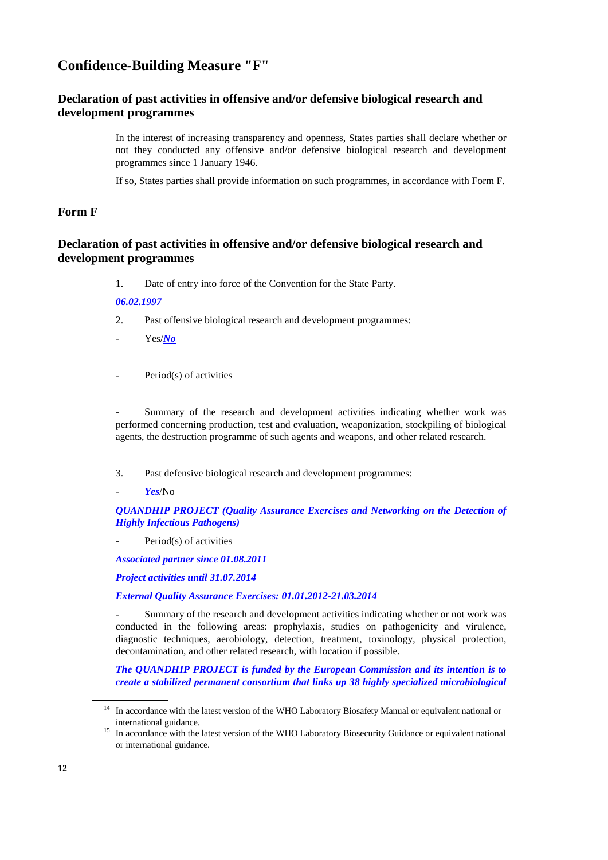# **Confidence-Building Measure "F"**

## **Declaration of past activities in offensive and/or defensive biological research and development programmes**

In the interest of increasing transparency and openness, States parties shall declare whether or not they conducted any offensive and/or defensive biological research and development programmes since 1 January 1946.

If so, States parties shall provide information on such programmes, in accordance with Form F.

## **Form F**

## **Declaration of past activities in offensive and/or defensive biological research and development programmes**

1. Date of entry into force of the Convention for the State Party.

#### *06.02.1997*

- 2. Past offensive biological research and development programmes:
- Yes/*No*
- Period(s) of activities

Summary of the research and development activities indicating whether work was performed concerning production, test and evaluation, weaponization, stockpiling of biological agents, the destruction programme of such agents and weapons, and other related research.

- 3. Past defensive biological research and development programmes:
- *Yes*/No

#### *QUANDHIP PROJECT (Quality Assurance Exercises and Networking on the Detection of Highly Infectious Pathogens)*

Period(s) of activities

*Associated partner since 01.08.2011*

*Project activities until 31.07.2014*

#### *External Quality Assurance Exercises: 01.01.2012-21.03.2014*

Summary of the research and development activities indicating whether or not work was conducted in the following areas: prophylaxis, studies on pathogenicity and virulence, diagnostic techniques, aerobiology, detection, treatment, toxinology, physical protection, decontamination, and other related research, with location if possible.

*The QUANDHIP PROJECT is funded by the European Commission and its intention is to create a stabilized permanent consortium that links up 38 highly specialized microbiological* 

<sup>&</sup>lt;sup>14</sup> In accordance with the latest version of the WHO Laboratory Biosafety Manual or equivalent national or

international guidance.<br><sup>15</sup> In accordance with the latest version of the WHO Laboratory Biosecurity Guidance or equivalent national or international guidance.